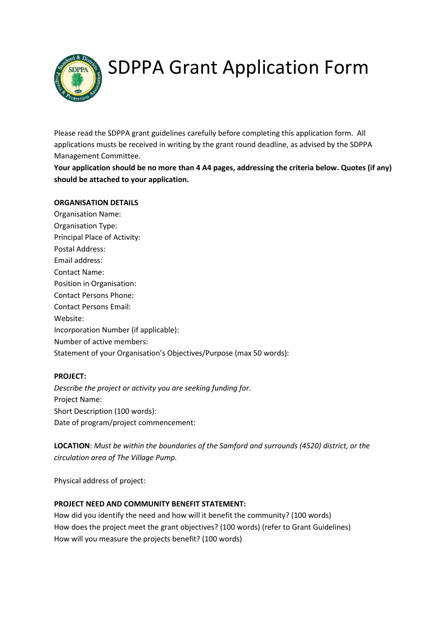

# SDPPA Grant Application Form

Please read the SDPPA grant guidelines carefully before completing this application form. All applications musts be received in writing by the grant round deadline, as advised by the SDPPA Management Committee.

**Your application should be no more than 4 A4 pages, addressing the criteria below. Quotes (if any) should be attached to your application.** 

## **ORGANISATION DETAILS**

Organisation Name: Organisation Type: Principal Place of Activity: Postal Address: Email address: Contact Name: Position in Organisation: Contact Persons Phone: Contact Persons Email: Website: Incorporation Number (if applicable): Number of active members: Statement of your Organisation's Objectives/Purpose (max 50 words):

# **PROJECT:**

*Describe the project or activity you are seeking funding for.*  Project Name: Short Description (100 words): Date of program/project commencement:

**LOCATION**: *Must be within the boundaries of the Samford and surrounds (4520) district, or the circulation area of The Village Pump.*

Physical address of project:

# **PROJECT NEED AND COMMUNITY BENEFIT STATEMENT:**

How did you identify the need and how will it benefit the community? (100 words) How does the project meet the grant objectives? (100 words) (refer to Grant Guidelines) How will you measure the projects benefit? (100 words)